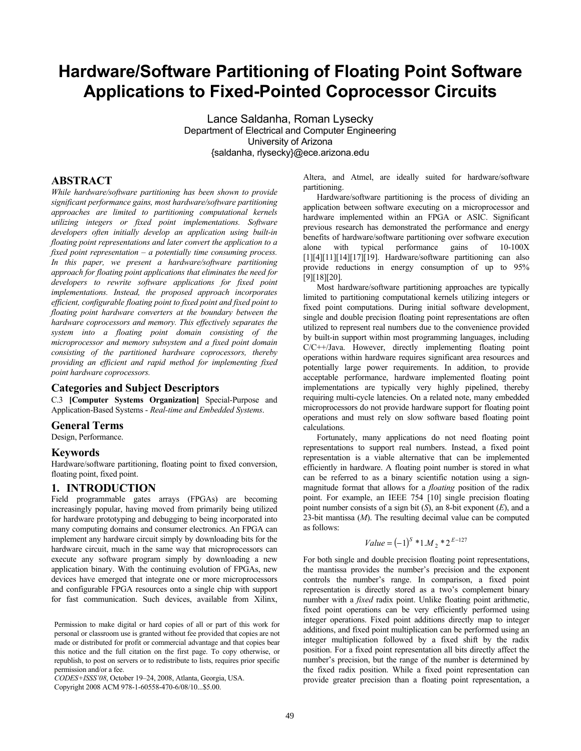# **Hardware/Software Partitioning of Floating Point Software Applications to Fixed-Pointed Coprocessor Circuits**

Lance Saldanha, Roman Lysecky Department of Electrical and Computer Engineering University of Arizona {saldanha, rlysecky}@ece.arizona.edu

## **ABSTRACT**

*While hardware/software partitioning has been shown to provide significant performance gains, most hardware/software partitioning approaches are limited to partitioning computational kernels utilizing integers or fixed point implementations. Software developers often initially develop an application using built-in floating point representations and later convert the application to a fixed point representation – a potentially time consuming process. In this paper, we present a hardware/software partitioning approach for floating point applications that eliminates the need for developers to rewrite software applications for fixed point implementations. Instead, the proposed approach incorporates efficient, configurable floating point to fixed point and fixed point to floating point hardware converters at the boundary between the hardware coprocessors and memory. This effectively separates the system into a floating point domain consisting of the microprocessor and memory subsystem and a fixed point domain consisting of the partitioned hardware coprocessors, thereby providing an efficient and rapid method for implementing fixed point hardware coprocessors.* 

#### **Categories and Subject Descriptors**

C.3 **[Computer Systems Organization]** Special-Purpose and Application-Based Systems - *Real-time and Embedded Systems*.

#### **General Terms**

Design, Performance.

#### **Keywords**

Hardware/software partitioning, floating point to fixed conversion, floating point, fixed point.

#### **1. INTRODUCTION**

Field programmable gates arrays (FPGAs) are becoming increasingly popular, having moved from primarily being utilized for hardware prototyping and debugging to being incorporated into many computing domains and consumer electronics. An FPGA can implement any hardware circuit simply by downloading bits for the hardware circuit, much in the same way that microprocessors can execute any software program simply by downloading a new application binary. With the continuing evolution of FPGAs, new devices have emerged that integrate one or more microprocessors and configurable FPGA resources onto a single chip with support for fast communication. Such devices, available from Xilinx,

*CODES+ISSS'08*, October 19–24, 2008, Atlanta, Georgia, USA.

Copyright 2008 ACM 978-1-60558-470-6/08/10...\$5.00.

Altera, and Atmel, are ideally suited for hardware/software partitioning.

Hardware/software partitioning is the process of dividing an application between software executing on a microprocessor and hardware implemented within an FPGA or ASIC. Significant previous research has demonstrated the performance and energy benefits of hardware/software partitioning over software execution alone with typical performance gains of 10-100X [1][4][11][14][17][19]. Hardware/software partitioning can also provide reductions in energy consumption of up to 95% [9][18][20].

Most hardware/software partitioning approaches are typically limited to partitioning computational kernels utilizing integers or fixed point computations. During initial software development, single and double precision floating point representations are often utilized to represent real numbers due to the convenience provided by built-in support within most programming languages, including C/C++/Java. However, directly implementing floating point operations within hardware requires significant area resources and potentially large power requirements. In addition, to provide acceptable performance, hardware implemented floating point implementations are typically very highly pipelined, thereby requiring multi-cycle latencies. On a related note, many embedded microprocessors do not provide hardware support for floating point operations and must rely on slow software based floating point calculations.

Fortunately, many applications do not need floating point representations to support real numbers. Instead, a fixed point representation is a viable alternative that can be implemented efficiently in hardware. A floating point number is stored in what can be referred to as a binary scientific notation using a signmagnitude format that allows for a *floating* position of the radix point. For example, an IEEE 754 [10] single precision floating point number consists of a sign bit (*S*), an 8-bit exponent (*E*), and a 23-bit mantissa (*M*). The resulting decimal value can be computed as follows:

Value = 
$$
(-1)^s * 1.M_2 * 2^{E-127}
$$

For both single and double precision floating point representations, the mantissa provides the number's precision and the exponent controls the number's range. In comparison, a fixed point representation is directly stored as a two's complement binary number with a *fixed* radix point. Unlike floating point arithmetic, fixed point operations can be very efficiently performed using integer operations. Fixed point additions directly map to integer additions, and fixed point multiplication can be performed using an integer multiplication followed by a fixed shift by the radix position. For a fixed point representation all bits directly affect the number's precision, but the range of the number is determined by the fixed radix position. While a fixed point representation can provide greater precision than a floating point representation, a

Permission to make digital or hard copies of all or part of this work for personal or classroom use is granted without fee provided that copies are not made or distributed for profit or commercial advantage and that copies bear this notice and the full citation on the first page. To copy otherwise, or republish, to post on servers or to redistribute to lists, requires prior specific permission and/or a fee.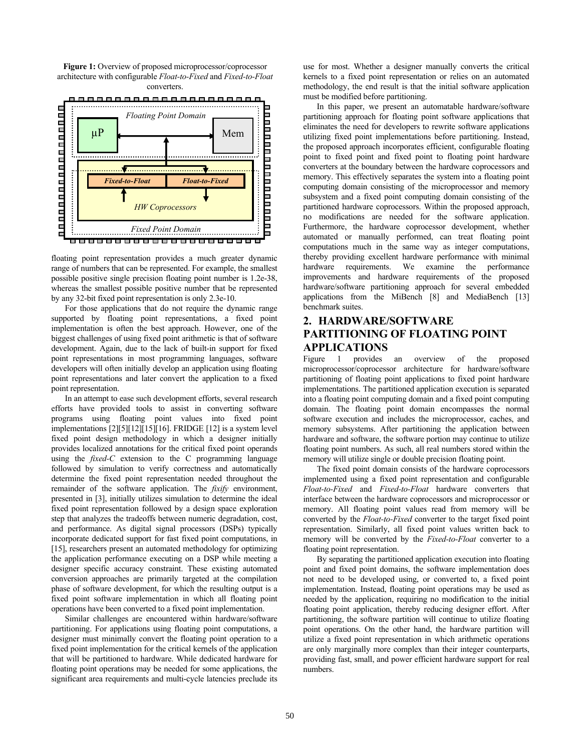**Figure 1:** Overview of proposed microprocessor/coprocessor architecture with configurable *Float-to-Fixed* and *Fixed-to-Float* converters.



floating point representation provides a much greater dynamic range of numbers that can be represented. For example, the smallest possible positive single precision floating point number is 1.2e-38, whereas the smallest possible positive number that be represented by any 32-bit fixed point representation is only 2.3e-10.

For those applications that do not require the dynamic range supported by floating point representations, a fixed point implementation is often the best approach. However, one of the biggest challenges of using fixed point arithmetic is that of software development. Again, due to the lack of built-in support for fixed point representations in most programming languages, software developers will often initially develop an application using floating point representations and later convert the application to a fixed point representation.

In an attempt to ease such development efforts, several research efforts have provided tools to assist in converting software programs using floating point values into fixed point implementations [2][5][12][15][16]. FRIDGE [12] is a system level fixed point design methodology in which a designer initially provides localized annotations for the critical fixed point operands using the *fixed-C* extension to the C programming language followed by simulation to verify correctness and automatically determine the fixed point representation needed throughout the remainder of the software application. The *fixify* environment, presented in [3], initially utilizes simulation to determine the ideal fixed point representation followed by a design space exploration step that analyzes the tradeoffs between numeric degradation, cost, and performance. As digital signal processors (DSPs) typically incorporate dedicated support for fast fixed point computations, in [15], researchers present an automated methodology for optimizing the application performance executing on a DSP while meeting a designer specific accuracy constraint. These existing automated conversion approaches are primarily targeted at the compilation phase of software development, for which the resulting output is a fixed point software implementation in which all floating point operations have been converted to a fixed point implementation.

Similar challenges are encountered within hardware/software partitioning. For applications using floating point computations, a designer must minimally convert the floating point operation to a fixed point implementation for the critical kernels of the application that will be partitioned to hardware. While dedicated hardware for floating point operations may be needed for some applications, the significant area requirements and multi-cycle latencies preclude its

use for most. Whether a designer manually converts the critical kernels to a fixed point representation or relies on an automated methodology, the end result is that the initial software application must be modified before partitioning.

In this paper, we present an automatable hardware/software partitioning approach for floating point software applications that eliminates the need for developers to rewrite software applications utilizing fixed point implementations before partitioning. Instead, the proposed approach incorporates efficient, configurable floating point to fixed point and fixed point to floating point hardware converters at the boundary between the hardware coprocessors and memory. This effectively separates the system into a floating point computing domain consisting of the microprocessor and memory subsystem and a fixed point computing domain consisting of the partitioned hardware coprocessors. Within the proposed approach, no modifications are needed for the software application. Furthermore, the hardware coprocessor development, whether automated or manually performed, can treat floating point computations much in the same way as integer computations, thereby providing excellent hardware performance with minimal hardware requirements. We examine the performance improvements and hardware requirements of the proposed hardware/software partitioning approach for several embedded applications from the MiBench [8] and MediaBench [13] benchmark suites.

# **2. HARDWARE/SOFTWARE PARTITIONING OF FLOATING POINT APPLICATIONS**

Figure 1 provides an overview of the proposed microprocessor/coprocessor architecture for hardware/software partitioning of floating point applications to fixed point hardware implementations. The partitioned application execution is separated into a floating point computing domain and a fixed point computing domain. The floating point domain encompasses the normal software execution and includes the microprocessor, caches, and memory subsystems. After partitioning the application between hardware and software, the software portion may continue to utilize floating point numbers. As such, all real numbers stored within the memory will utilize single or double precision floating point.

The fixed point domain consists of the hardware coprocessors implemented using a fixed point representation and configurable *Float-to-Fixed* and *Fixed-to-Float* hardware converters that interface between the hardware coprocessors and microprocessor or memory. All floating point values read from memory will be converted by the *Float-to-Fixed* converter to the target fixed point representation. Similarly, all fixed point values written back to memory will be converted by the *Fixed-to-Float* converter to a floating point representation.

By separating the partitioned application execution into floating point and fixed point domains, the software implementation does not need to be developed using, or converted to, a fixed point implementation. Instead, floating point operations may be used as needed by the application, requiring no modification to the initial floating point application, thereby reducing designer effort. After partitioning, the software partition will continue to utilize floating point operations. On the other hand, the hardware partition will utilize a fixed point representation in which arithmetic operations are only marginally more complex than their integer counterparts, providing fast, small, and power efficient hardware support for real numbers.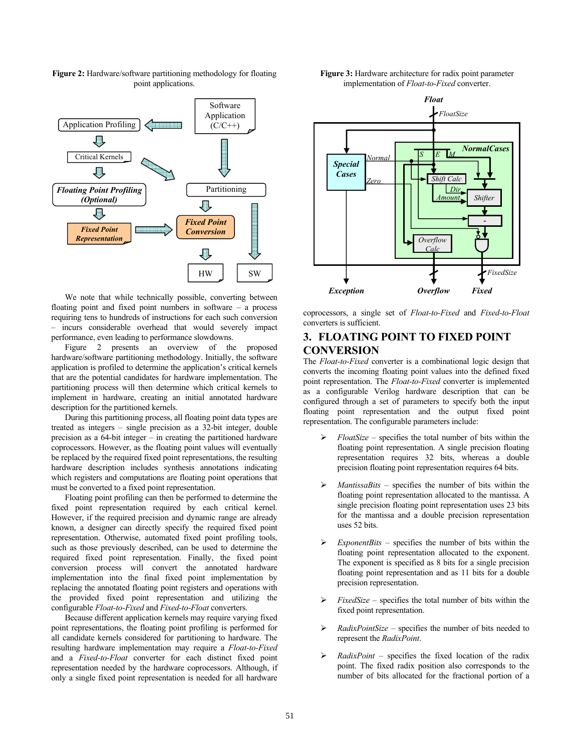

**Figure 2:** Hardware/software partitioning methodology for floating point applications.

We note that while technically possible, converting between floating point and fixed point numbers in software – a process requiring tens to hundreds of instructions for each such conversion – incurs considerable overhead that would severely impact performance, even leading to performance slowdowns.

Figure 2 presents an overview of the proposed hardware/software partitioning methodology. Initially, the software application is profiled to determine the application's critical kernels that are the potential candidates for hardware implementation. The partitioning process will then determine which critical kernels to implement in hardware, creating an initial annotated hardware description for the partitioned kernels.

During this partitioning process, all floating point data types are treated as integers – single precision as a 32-bit integer, double precision as a 64-bit integer – in creating the partitioned hardware coprocessors. However, as the floating point values will eventually be replaced by the required fixed point representations, the resulting hardware description includes synthesis annotations indicating which registers and computations are floating point operations that must be converted to a fixed point representation.

Floating point profiling can then be performed to determine the fixed point representation required by each critical kernel. However, if the required precision and dynamic range are already known, a designer can directly specify the required fixed point representation. Otherwise, automated fixed point profiling tools, such as those previously described, can be used to determine the required fixed point representation. Finally, the fixed point conversion process will convert the annotated hardware implementation into the final fixed point implementation by replacing the annotated floating point registers and operations with the provided fixed point representation and utilizing the configurable *Float-to-Fixed* and *Fixed-to-Float* converters.

Because different application kernels may require varying fixed point representations, the floating point profiling is performed for all candidate kernels considered for partitioning to hardware. The resulting hardware implementation may require a *Float-to-Fixed* and a *Fixed-to-Float* converter for each distinct fixed point representation needed by the hardware coprocessors. Although, if only a single fixed point representation is needed for all hardware





coprocessors, a single set of *Float-to-Fixed* and *Fixed-to-Float* converters is sufficient.

# **3. FLOATING POINT TO FIXED POINT CONVERSION**

The *Float-to-Fixed* converter is a combinational logic design that converts the incoming floating point values into the defined fixed point representation. The *Float-to-Fixed* converter is implemented as a configurable Verilog hardware description that can be configured through a set of parameters to specify both the input floating point representation and the output fixed point representation. The configurable parameters include:

- ¾ *FloatSize* specifies the total number of bits within the floating point representation. A single precision floating representation requires 32 bits, whereas a double precision floating point representation requires 64 bits.
- ¾ *MantissaBits*  specifies the number of bits within the floating point representation allocated to the mantissa. A single precision floating point representation uses 23 bits for the mantissa and a double precision representation uses 52 bits.
- ¾ *ExponentBits*  specifies the number of bits within the floating point representation allocated to the exponent. The exponent is specified as 8 bits for a single precision floating point representation and as 11 bits for a double precision representation.
- ¾ *FixedSize* specifies the total number of bits within the fixed point representation.
- ¾ *RadixPointSize* specifies the number of bits needed to represent the *RadixPoint*.
- ¾ *RadixPoint* specifies the fixed location of the radix point. The fixed radix position also corresponds to the number of bits allocated for the fractional portion of a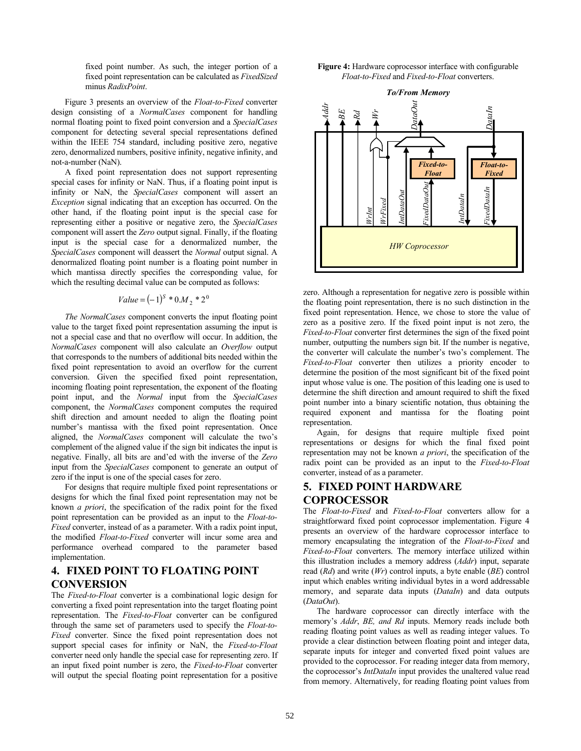fixed point number. As such, the integer portion of a fixed point representation can be calculated as *FixedSized* minus *RadixPoint*.

Figure 3 presents an overview of the *Float-to-Fixed* converter design consisting of a *NormalCases* component for handling normal floating point to fixed point conversion and a *SpecialCases* component for detecting several special representations defined within the IEEE 754 standard, including positive zero, negative zero, denormalized numbers, positive infinity, negative infinity, and not-a-number (NaN).

A fixed point representation does not support representing special cases for infinity or NaN. Thus, if a floating point input is infinity or NaN, the *SpecialCases* component will assert an *Exception* signal indicating that an exception has occurred. On the other hand, if the floating point input is the special case for representing either a positive or negative zero, the *SpecialCases* component will assert the *Zero* output signal. Finally, if the floating input is the special case for a denormalized number, the *SpecialCases* component will deassert the *Normal* output signal. A denormalized floating point number is a floating point number in which mantissa directly specifies the corresponding value, for which the resulting decimal value can be computed as follows:

$$
Value = (-1)^{S} * 0.M_{2} * 2^{0}
$$

*The NormalCases* component converts the input floating point value to the target fixed point representation assuming the input is not a special case and that no overflow will occur. In addition, the *NormalCases* component will also calculate an *Overflow* output that corresponds to the numbers of additional bits needed within the fixed point representation to avoid an overflow for the current conversion. Given the specified fixed point representation, incoming floating point representation, the exponent of the floating point input, and the *Normal* input from the *SpecialCases* component, the *NormalCases* component computes the required shift direction and amount needed to align the floating point number's mantissa with the fixed point representation. Once aligned, the *NormalCases* component will calculate the two's complement of the aligned value if the sign bit indicates the input is negative. Finally, all bits are and'ed with the inverse of the *Zero* input from the *SpecialCases* component to generate an output of zero if the input is one of the special cases for zero.

For designs that require multiple fixed point representations or designs for which the final fixed point representation may not be known *a priori*, the specification of the radix point for the fixed point representation can be provided as an input to the *Float-to-Fixed* converter, instead of as a parameter. With a radix point input, the modified *Float-to-Fixed* converter will incur some area and performance overhead compared to the parameter based implementation.

# **4. FIXED POINT TO FLOATING POINT CONVERSION**

The *Fixed-to-Float* converter is a combinational logic design for converting a fixed point representation into the target floating point representation. The *Fixed-to-Float* converter can be configured through the same set of parameters used to specify the *Float-to-Fixed* converter. Since the fixed point representation does not support special cases for infinity or NaN, the *Fixed-to-Float* converter need only handle the special case for representing zero. If an input fixed point number is zero, the *Fixed-to-Float* converter will output the special floating point representation for a positive





zero. Although a representation for negative zero is possible within the floating point representation, there is no such distinction in the fixed point representation. Hence, we chose to store the value of zero as a positive zero. If the fixed point input is not zero, the *Fixed-to-Float* converter first determines the sign of the fixed point number, outputting the numbers sign bit. If the number is negative, the converter will calculate the number's two's complement. The *Fixed-to-Float* converter then utilizes a priority encoder to determine the position of the most significant bit of the fixed point input whose value is one. The position of this leading one is used to determine the shift direction and amount required to shift the fixed point number into a binary scientific notation, thus obtaining the required exponent and mantissa for the floating point representation.

Again, for designs that require multiple fixed point representations or designs for which the final fixed point representation may not be known *a priori*, the specification of the radix point can be provided as an input to the *Fixed-to-Float* converter, instead of as a parameter.

# **5. FIXED POINT HARDWARE COPROCESSOR**

The *Float-to-Fixed* and *Fixed-to-Float* converters allow for a straightforward fixed point coprocessor implementation. Figure 4 presents an overview of the hardware coprocessor interface to memory encapsulating the integration of the *Float-to-Fixed* and *Fixed-to-Float* converters. The memory interface utilized within this illustration includes a memory address (*Addr*) input, separate read (*Rd*) and write (*Wr*) control inputs, a byte enable (*BE*) control input which enables writing individual bytes in a word addressable memory, and separate data inputs (*DataIn*) and data outputs (*DataOut*).

The hardware coprocessor can directly interface with the memory's *Addr*, *BE, and Rd* inputs. Memory reads include both reading floating point values as well as reading integer values. To provide a clear distinction between floating point and integer data, separate inputs for integer and converted fixed point values are provided to the coprocessor. For reading integer data from memory, the coprocessor's *IntDataIn* input provides the unaltered value read from memory. Alternatively, for reading floating point values from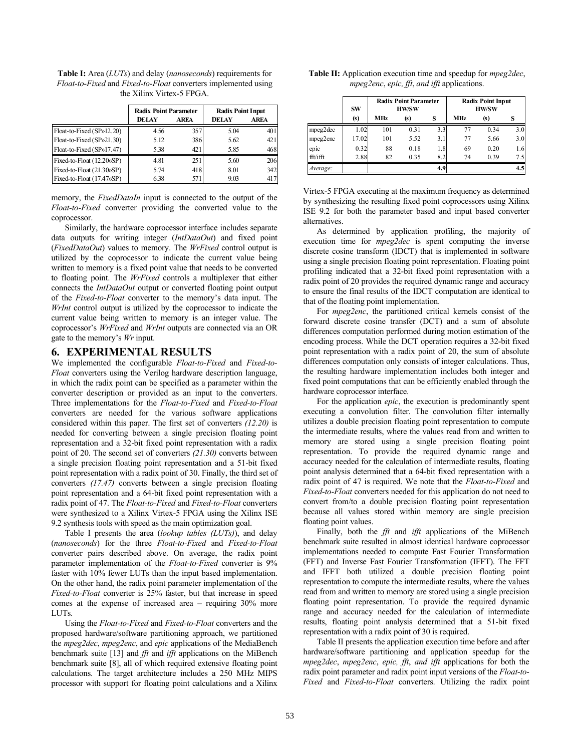| <b>Table I:</b> Area ( <i>LUTs</i> ) and delay ( <i>nanoseconds</i> ) requirements for |
|----------------------------------------------------------------------------------------|
| <i>Float-to-Fixed</i> and <i>Fixed-to-Float</i> converters implemented using           |
| the Xilinx Virtex-5 FPGA.                                                              |

|                           | <b>Radix Point Parameter</b><br><b>DELAY</b> | AREA | <b>Radix Point Input</b><br><b>DELAY</b><br>AREA |     |
|---------------------------|----------------------------------------------|------|--------------------------------------------------|-----|
| Float-to-Fixed (SP»12.20) | 4.56                                         | 357  | 5.04                                             | 401 |
| Float-to-Fixed (SP»21.30) | 5.12                                         | 386  | 5.62                                             | 421 |
| Float-to-Fixed (SP»17.47) | 5.38                                         | 421  | 5.85                                             | 468 |
| Fixed-to-Float (12.20»SP) | 4.81                                         | 251  | 5.60                                             | 206 |
| Fixed-to-Float (21.30»SP) | 5.74                                         | 418  | 8.01                                             | 342 |
| Fixed-to-Float (17.47»SP) | 6.38                                         | 571  | 9.03                                             | 417 |

memory, the *FixedDataIn* input is connected to the output of the *Float-to-Fixed* converter providing the converted value to the coprocessor.

Similarly, the hardware coprocessor interface includes separate data outputs for writing integer (*IntDataOut*) and fixed point (*FixedDataOut*) values to memory. The *WrFixed* control output is utilized by the coprocessor to indicate the current value being written to memory is a fixed point value that needs to be converted to floating point. The *WrFixed* controls a multiplexer that either connects the *IntDataOut* output or converted floating point output of the *Fixed-to-Float* converter to the memory's data input. The *WrInt* control output is utilized by the coprocessor to indicate the current value being written to memory is an integer value. The coprocessor's *WrFixed* and *WrInt* outputs are connected via an OR gate to the memory's *Wr* input.

## **6. EXPERIMENTAL RESULTS**

We implemented the configurable *Float-to-Fixed* and *Fixed-to-Float* converters using the Verilog hardware description language, in which the radix point can be specified as a parameter within the converter description or provided as an input to the converters. Three implementations for the *Float-to-Fixed* and *Fixed-to-Float* converters are needed for the various software applications considered within this paper. The first set of converters *(12.20)* is needed for converting between a single precision floating point representation and a 32-bit fixed point representation with a radix point of 20. The second set of converters *(21.30)* converts between a single precision floating point representation and a 51-bit fixed point representation with a radix point of 30. Finally, the third set of converters *(17.47)* converts between a single precision floating point representation and a 64-bit fixed point representation with a radix point of 47. The *Float-to-Fixed* and *Fixed-to-Float* converters were synthesized to a Xilinx Virtex-5 FPGA using the Xilinx ISE 9.2 synthesis tools with speed as the main optimization goal.

Table I presents the area (*lookup tables (LUTs)*), and delay (*nanoseconds*) for the three *Float-to-Fixed* and *Fixed-to-Float* converter pairs described above. On average, the radix point parameter implementation of the *Float-to-Fixed* converter is 9% faster with 10% fewer LUTs than the input based implementation. On the other hand, the radix point parameter implementation of the *Fixed-to-Float* converter is 25% faster, but that increase in speed comes at the expense of increased area – requiring 30% more LUTs.

Using the *Float-to-Fixed* and *Fixed-to-Float* converters and the proposed hardware/software partitioning approach, we partitioned the *mpeg2dec*, *mpeg2enc*, and *epic* applications of the MediaBench benchmark suite [13] and *fft* and *ifft* applications on the MiBench benchmark suite [8], all of which required extensive floating point calculations. The target architecture includes a 250 MHz MIPS processor with support for floating point calculations and a Xilinx

| <b>Table II:</b> Application execution time and speedup for <i>mpeg2dec</i> , |
|-------------------------------------------------------------------------------|
| <i>mpeg2enc, epic, fft, and ifft applications.</i>                            |

|          | <b>SW</b> | <b>Radix Point Parameter</b><br><b>HW/SW</b> |      |     | <b>Radix Point Input</b><br><b>HW/SW</b> |      |     |  |
|----------|-----------|----------------------------------------------|------|-----|------------------------------------------|------|-----|--|
|          | (s)       | <b>MHz</b>                                   | (s)  | s   | MHz                                      | (s)  | S   |  |
| mpeg2dec | 1.02      | 101                                          | 0.31 | 3.3 | 77                                       | 0.34 | 3.0 |  |
| mpeg2enc | 17.02     | 101                                          | 5.52 | 3.1 | 77                                       | 5.66 | 3.0 |  |
| epic     | 0.32      | 88                                           | 0.18 | 1.8 | 69                                       | 0.20 | 1.6 |  |
| fft/ifft | 2.88      | 82                                           | 0.35 | 8.2 | 74                                       | 0.39 | 7.5 |  |
| Average: |           |                                              |      | 4.9 |                                          |      | 4.5 |  |

Virtex-5 FPGA executing at the maximum frequency as determined by synthesizing the resulting fixed point coprocessors using Xilinx ISE 9.2 for both the parameter based and input based converter alternatives.

As determined by application profiling, the majority of execution time for *mpeg2dec* is spent computing the inverse discrete cosine transform (IDCT) that is implemented in software using a single precision floating point representation. Floating point profiling indicated that a 32-bit fixed point representation with a radix point of 20 provides the required dynamic range and accuracy to ensure the final results of the IDCT computation are identical to that of the floating point implementation.

For *mpeg2enc*, the partitioned critical kernels consist of the forward discrete cosine transfer (DCT) and a sum of absolute differences computation performed during motion estimation of the encoding process. While the DCT operation requires a 32-bit fixed point representation with a radix point of 20, the sum of absolute differences computation only consists of integer calculations. Thus, the resulting hardware implementation includes both integer and fixed point computations that can be efficiently enabled through the hardware coprocessor interface.

For the application *epic*, the execution is predominantly spent executing a convolution filter. The convolution filter internally utilizes a double precision floating point representation to compute the intermediate results, where the values read from and written to memory are stored using a single precision floating point representation. To provide the required dynamic range and accuracy needed for the calculation of intermediate results, floating point analysis determined that a 64-bit fixed representation with a radix point of 47 is required. We note that the *Float-to-Fixed* and *Fixed-to-Float* converters needed for this application do not need to convert from/to a double precision floating point representation because all values stored within memory are single precision floating point values.

Finally, both the *fft* and *ifft* applications of the MiBench benchmark suite resulted in almost identical hardware coprocessor implementations needed to compute Fast Fourier Transformation (FFT) and Inverse Fast Fourier Transformation (IFFT). The FFT and IFFT both utilized a double precision floating point representation to compute the intermediate results, where the values read from and written to memory are stored using a single precision floating point representation. To provide the required dynamic range and accuracy needed for the calculation of intermediate results, floating point analysis determined that a 51-bit fixed representation with a radix point of 30 is required.

Table II presents the application execution time before and after hardware/software partitioning and application speedup for the *mpeg2dec*, *mpeg2enc*, *epic, fft*, *and ifft* applications for both the radix point parameter and radix point input versions of the *Float-to-Fixed* and *Fixed-to-Float* converters. Utilizing the radix point